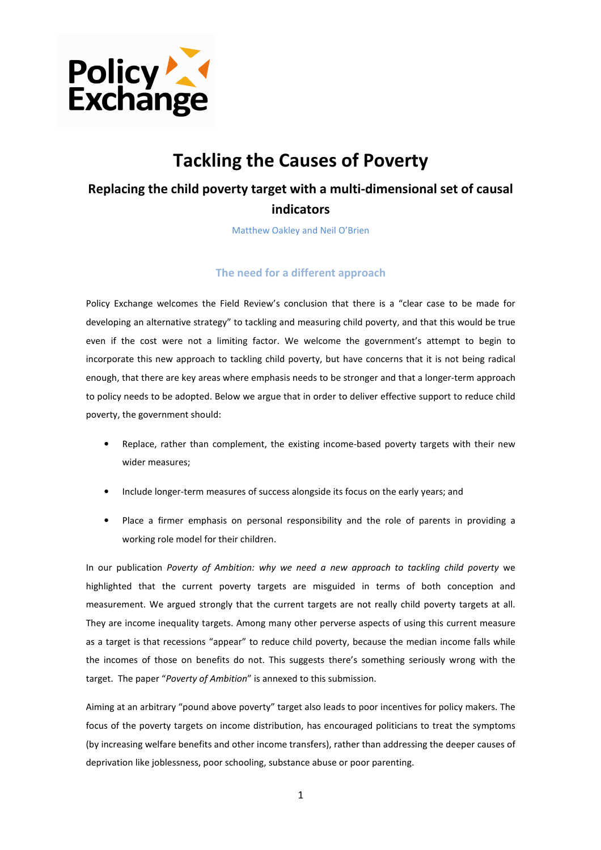

# Tackling the Causes of Poverty

## Replacing the child poverty target with a multi-dimensional set of causal indicators

Matthew Oakley and Neil O'Brien

## The need for a different approach

Policy Exchange welcomes the Field Review's conclusion that there is a "clear case to be made for developing an alternative strategy" to tackling and measuring child poverty, and that this would be true even if the cost were not a limiting factor. We welcome the government's attempt to begin to incorporate this new approach to tackling child poverty, but have concerns that it is not being radical enough, that there are key areas where emphasis needs to be stronger and that a longer-term approach to policy needs to be adopted. Below we argue that in order to deliver effective support to reduce child poverty, the government should:

- Replace, rather than complement, the existing income-based poverty targets with their new wider measures;
- Include longer-term measures of success alongside its focus on the early years; and
- Place a firmer emphasis on personal responsibility and the role of parents in providing a working role model for their children.

In our publication Poverty of Ambition: why we need a new approach to tackling child poverty we highlighted that the current poverty targets are misguided in terms of both conception and measurement. We argued strongly that the current targets are not really child poverty targets at all. They are income inequality targets. Among many other perverse aspects of using this current measure as a target is that recessions "appear" to reduce child poverty, because the median income falls while the incomes of those on benefits do not. This suggests there's something seriously wrong with the target. The paper "Poverty of Ambition" is annexed to this submission.

Aiming at an arbitrary "pound above poverty" target also leads to poor incentives for policy makers. The focus of the poverty targets on income distribution, has encouraged politicians to treat the symptoms (by increasing welfare benefits and other income transfers), rather than addressing the deeper causes of deprivation like joblessness, poor schooling, substance abuse or poor parenting.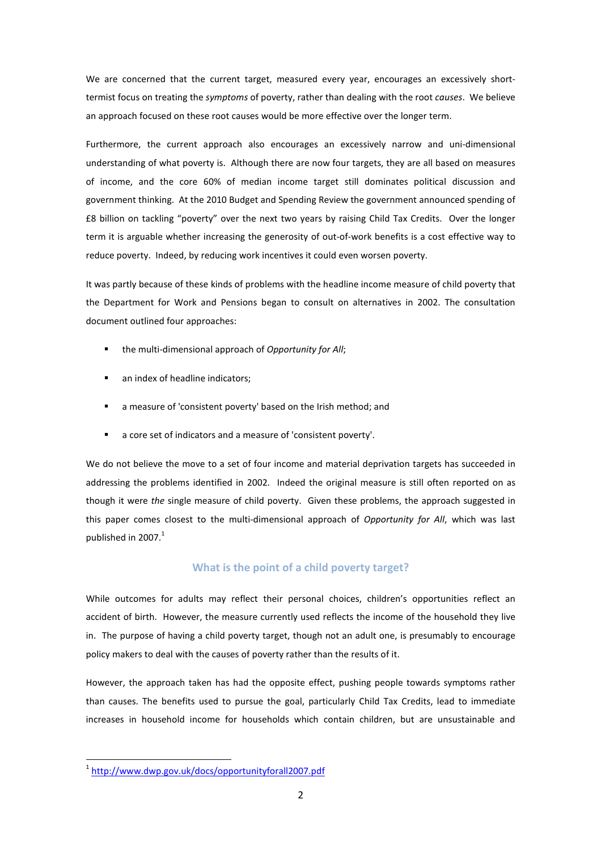We are concerned that the current target, measured every year, encourages an excessively shorttermist focus on treating the symptoms of poverty, rather than dealing with the root causes. We believe an approach focused on these root causes would be more effective over the longer term.

Furthermore, the current approach also encourages an excessively narrow and uni-dimensional understanding of what poverty is. Although there are now four targets, they are all based on measures of income, and the core 60% of median income target still dominates political discussion and government thinking. At the 2010 Budget and Spending Review the government announced spending of £8 billion on tackling "poverty" over the next two years by raising Child Tax Credits. Over the longer term it is arguable whether increasing the generosity of out-of-work benefits is a cost effective way to reduce poverty. Indeed, by reducing work incentives it could even worsen poverty.

It was partly because of these kinds of problems with the headline income measure of child poverty that the Department for Work and Pensions began to consult on alternatives in 2002. The consultation document outlined four approaches:

- the multi-dimensional approach of Opportunity for All;
- an index of headline indicators;
- a measure of 'consistent poverty' based on the Irish method; and
- a core set of indicators and a measure of 'consistent poverty'.

We do not believe the move to a set of four income and material deprivation targets has succeeded in addressing the problems identified in 2002. Indeed the original measure is still often reported on as though it were the single measure of child poverty. Given these problems, the approach suggested in this paper comes closest to the multi-dimensional approach of Opportunity for All, which was last published in 2007.<sup>1</sup>

## What is the point of a child poverty target?

While outcomes for adults may reflect their personal choices, children's opportunities reflect an accident of birth. However, the measure currently used reflects the income of the household they live in. The purpose of having a child poverty target, though not an adult one, is presumably to encourage policy makers to deal with the causes of poverty rather than the results of it.

However, the approach taken has had the opposite effect, pushing people towards symptoms rather than causes. The benefits used to pursue the goal, particularly Child Tax Credits, lead to immediate increases in household income for households which contain children, but are unsustainable and

<sup>&</sup>lt;sup>1</sup>http://www.dwp.gov.uk/docs/opportunityforall2007.pdf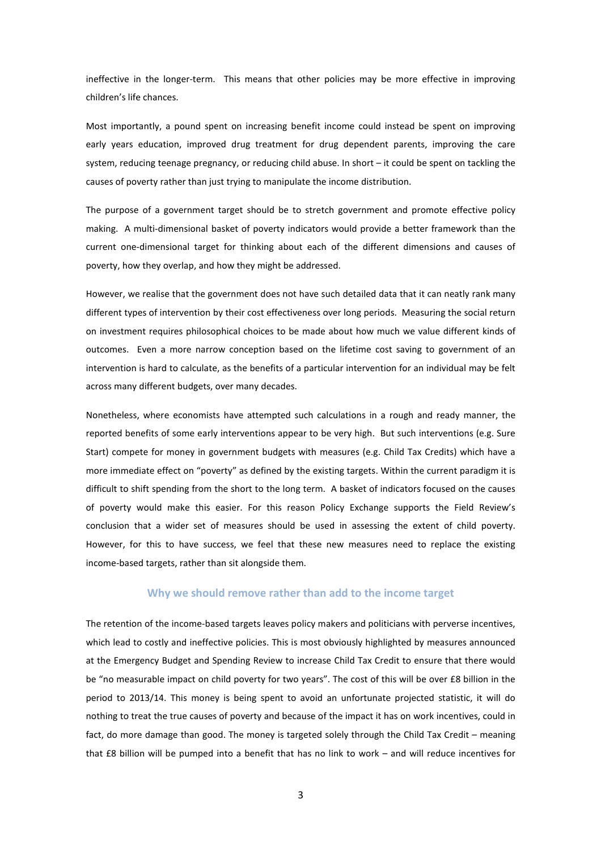ineffective in the longer-term. This means that other policies may be more effective in improving children's life chances.

Most importantly, a pound spent on increasing benefit income could instead be spent on improving early years education, improved drug treatment for drug dependent parents, improving the care system, reducing teenage pregnancy, or reducing child abuse. In short – it could be spent on tackling the causes of poverty rather than just trying to manipulate the income distribution.

The purpose of a government target should be to stretch government and promote effective policy making. A multi-dimensional basket of poverty indicators would provide a better framework than the current one-dimensional target for thinking about each of the different dimensions and causes of poverty, how they overlap, and how they might be addressed.

However, we realise that the government does not have such detailed data that it can neatly rank many different types of intervention by their cost effectiveness over long periods. Measuring the social return on investment requires philosophical choices to be made about how much we value different kinds of outcomes. Even a more narrow conception based on the lifetime cost saving to government of an intervention is hard to calculate, as the benefits of a particular intervention for an individual may be felt across many different budgets, over many decades.

Nonetheless, where economists have attempted such calculations in a rough and ready manner, the reported benefits of some early interventions appear to be very high. But such interventions (e.g. Sure Start) compete for money in government budgets with measures (e.g. Child Tax Credits) which have a more immediate effect on "poverty" as defined by the existing targets. Within the current paradigm it is difficult to shift spending from the short to the long term. A basket of indicators focused on the causes of poverty would make this easier. For this reason Policy Exchange supports the Field Review's conclusion that a wider set of measures should be used in assessing the extent of child poverty. However, for this to have success, we feel that these new measures need to replace the existing income-based targets, rather than sit alongside them.

## Why we should remove rather than add to the income target

The retention of the income-based targets leaves policy makers and politicians with perverse incentives, which lead to costly and ineffective policies. This is most obviously highlighted by measures announced at the Emergency Budget and Spending Review to increase Child Tax Credit to ensure that there would be "no measurable impact on child poverty for two years". The cost of this will be over £8 billion in the period to 2013/14. This money is being spent to avoid an unfortunate projected statistic, it will do nothing to treat the true causes of poverty and because of the impact it has on work incentives, could in fact, do more damage than good. The money is targeted solely through the Child Tax Credit – meaning that £8 billion will be pumped into a benefit that has no link to work – and will reduce incentives for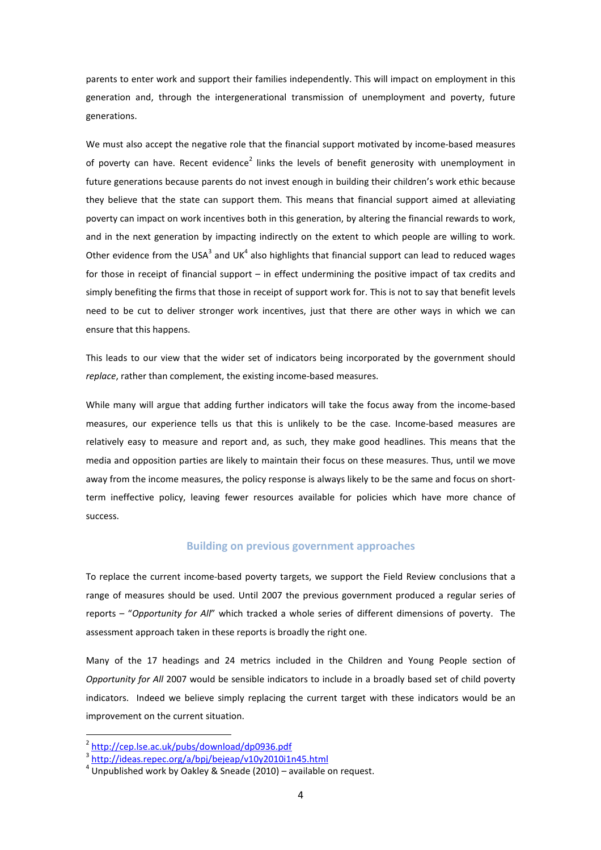parents to enter work and support their families independently. This will impact on employment in this generation and, through the intergenerational transmission of unemployment and poverty, future generations.

We must also accept the negative role that the financial support motivated by income-based measures of poverty can have. Recent evidence<sup>2</sup> links the levels of benefit generosity with unemployment in future generations because parents do not invest enough in building their children's work ethic because they believe that the state can support them. This means that financial support aimed at alleviating poverty can impact on work incentives both in this generation, by altering the financial rewards to work, and in the next generation by impacting indirectly on the extent to which people are willing to work. Other evidence from the USA<sup>3</sup> and UK<sup>4</sup> also highlights that financial support can lead to reduced wages for those in receipt of financial support – in effect undermining the positive impact of tax credits and simply benefiting the firms that those in receipt of support work for. This is not to say that benefit levels need to be cut to deliver stronger work incentives, just that there are other ways in which we can ensure that this happens.

This leads to our view that the wider set of indicators being incorporated by the government should replace, rather than complement, the existing income-based measures.

While many will argue that adding further indicators will take the focus away from the income-based measures, our experience tells us that this is unlikely to be the case. Income-based measures are relatively easy to measure and report and, as such, they make good headlines. This means that the media and opposition parties are likely to maintain their focus on these measures. Thus, until we move away from the income measures, the policy response is always likely to be the same and focus on shortterm ineffective policy, leaving fewer resources available for policies which have more chance of success.

## Building on previous government approaches

To replace the current income-based poverty targets, we support the Field Review conclusions that a range of measures should be used. Until 2007 the previous government produced a regular series of reports – "Opportunity for All" which tracked a whole series of different dimensions of poverty. The assessment approach taken in these reports is broadly the right one.

Many of the 17 headings and 24 metrics included in the Children and Young People section of Opportunity for All 2007 would be sensible indicators to include in a broadly based set of child poverty indicators. Indeed we believe simply replacing the current target with these indicators would be an improvement on the current situation.

l

<sup>2</sup> http://cep.lse.ac.uk/pubs/download/dp0936.pdf

<sup>&</sup>lt;sup>3</sup> http://ideas.repec.org/a/bpj/bejeap/v10y2010i1n45.html

 $4$  Unpublished work by Oakley & Sneade (2010) – available on request.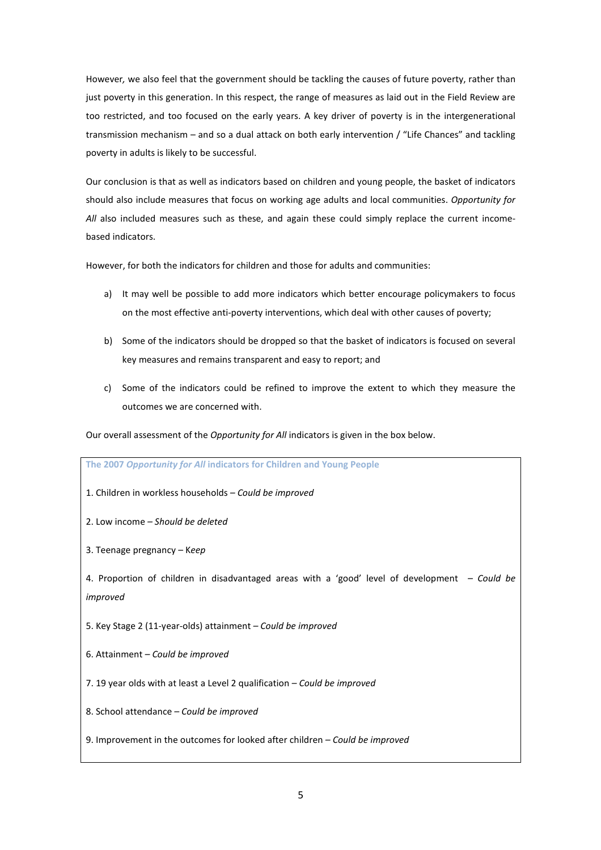However, we also feel that the government should be tackling the causes of future poverty, rather than just poverty in this generation. In this respect, the range of measures as laid out in the Field Review are too restricted, and too focused on the early years. A key driver of poverty is in the intergenerational transmission mechanism – and so a dual attack on both early intervention / "Life Chances" and tackling poverty in adults is likely to be successful.

Our conclusion is that as well as indicators based on children and young people, the basket of indicators should also include measures that focus on working age adults and local communities. Opportunity for All also included measures such as these, and again these could simply replace the current incomebased indicators.

However, for both the indicators for children and those for adults and communities:

- a) It may well be possible to add more indicators which better encourage policymakers to focus on the most effective anti-poverty interventions, which deal with other causes of poverty;
- b) Some of the indicators should be dropped so that the basket of indicators is focused on several key measures and remains transparent and easy to report; and
- c) Some of the indicators could be refined to improve the extent to which they measure the outcomes we are concerned with.

Our overall assessment of the Opportunity for All indicators is given in the box below.

| The 2007 Opportunity for All indicators for Children and Young People                                      |
|------------------------------------------------------------------------------------------------------------|
| 1. Children in workless households – Could be improved                                                     |
| 2. Low income – Should be deleted                                                                          |
| 3. Teenage pregnancy - Keep                                                                                |
| 4. Proportion of children in disadvantaged areas with a 'good' level of development - Could be<br>improved |
| 5. Key Stage 2 (11-year-olds) attainment – Could be improved                                               |
| 6. Attainment - Could be improved                                                                          |
| 7. 19 year olds with at least a Level 2 qualification - Could be improved                                  |
| 8. School attendance - Could be improved                                                                   |
| 9. Improvement in the outcomes for looked after children $-$ Could be improved                             |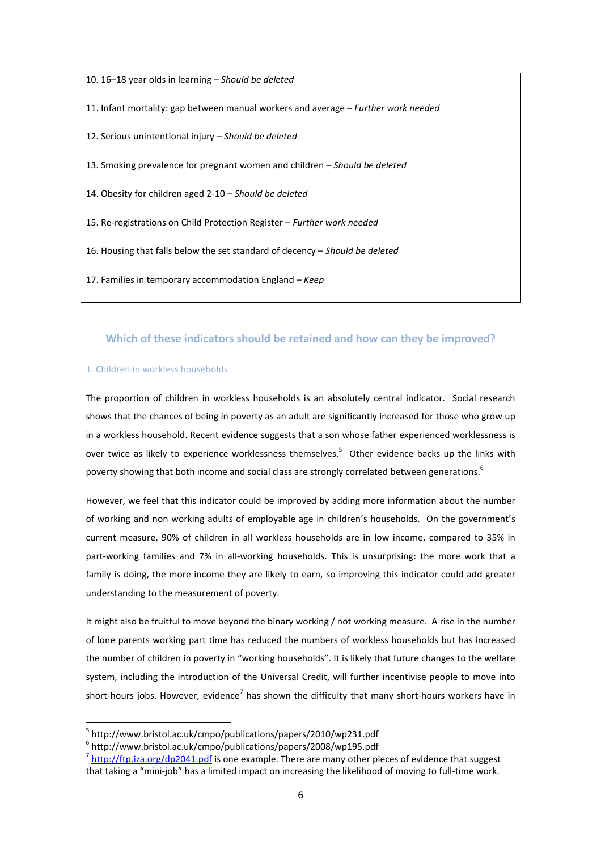10. 16–18 year olds in learning – Should be deleted 11. Infant mortality: gap between manual workers and average – Further work needed 12. Serious unintentional injury – Should be deleted 13. Smoking prevalence for pregnant women and children – Should be deleted 14. Obesity for children aged 2-10 – Should be deleted 15. Re-registrations on Child Protection Register – Further work needed 16. Housing that falls below the set standard of decency – Should be deleted 17. Families in temporary accommodation England - Keep

## Which of these indicators should be retained and how can they be improved?

## 1. Children in workless households

The proportion of children in workless households is an absolutely central indicator. Social research shows that the chances of being in poverty as an adult are significantly increased for those who grow up in a workless household. Recent evidence suggests that a son whose father experienced worklessness is over twice as likely to experience worklessness themselves.<sup>5</sup> Other evidence backs up the links with poverty showing that both income and social class are strongly correlated between generations.<sup>6</sup>

However, we feel that this indicator could be improved by adding more information about the number of working and non working adults of employable age in children's households. On the government's current measure, 90% of children in all workless households are in low income, compared to 35% in part-working families and 7% in all-working households. This is unsurprising: the more work that a family is doing, the more income they are likely to earn, so improving this indicator could add greater understanding to the measurement of poverty.

It might also be fruitful to move beyond the binary working / not working measure. A rise in the number of lone parents working part time has reduced the numbers of workless households but has increased the number of children in poverty in "working households". It is likely that future changes to the welfare system, including the introduction of the Universal Credit, will further incentivise people to move into short-hours jobs. However, evidence<sup>7</sup> has shown the difficulty that many short-hours workers have in

<sup>5</sup> http://www.bristol.ac.uk/cmpo/publications/papers/2010/wp231.pdf

<sup>6</sup> http://www.bristol.ac.uk/cmpo/publications/papers/2008/wp195.pdf

 $^7$  http://ftp.iza.org/dp2041.pdf is one example. There are many other pieces of evidence that suggest that taking a "mini-job" has a limited impact on increasing the likelihood of moving to full-time work.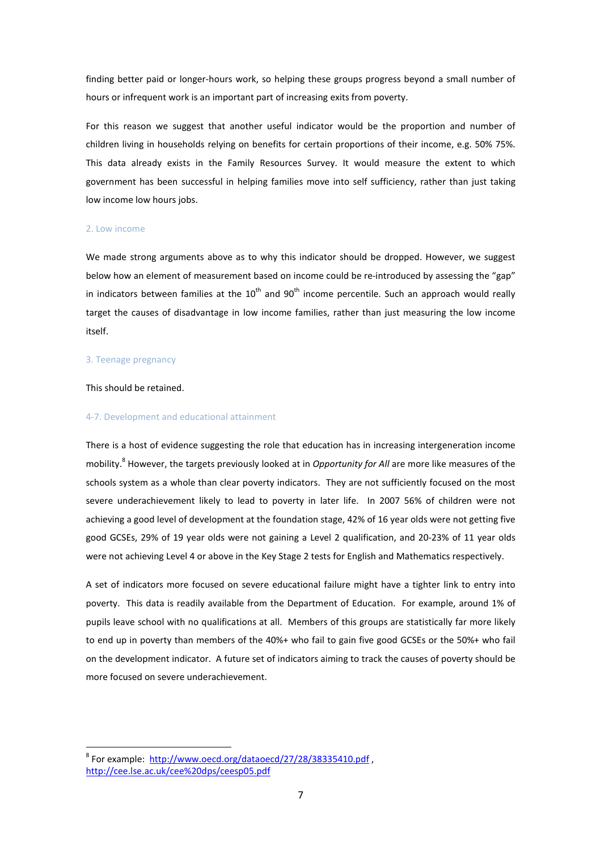finding better paid or longer-hours work, so helping these groups progress beyond a small number of hours or infrequent work is an important part of increasing exits from poverty.

For this reason we suggest that another useful indicator would be the proportion and number of children living in households relying on benefits for certain proportions of their income, e.g. 50% 75%. This data already exists in the Family Resources Survey. It would measure the extent to which government has been successful in helping families move into self sufficiency, rather than just taking low income low hours jobs.

#### 2. Low income

We made strong arguments above as to why this indicator should be dropped. However, we suggest below how an element of measurement based on income could be re-introduced by assessing the "gap" in indicators between families at the  $10^{th}$  and  $90^{th}$  income percentile. Such an approach would really target the causes of disadvantage in low income families, rather than just measuring the low income itself.

#### 3. Teenage pregnancy

#### This should be retained.

 $\overline{a}$ 

#### 4-7. Development and educational attainment

There is a host of evidence suggesting the role that education has in increasing intergeneration income mobility.<sup>8</sup> However, the targets previously looked at in *Opportunity for All* are more like measures of the schools system as a whole than clear poverty indicators. They are not sufficiently focused on the most severe underachievement likely to lead to poverty in later life. In 2007 56% of children were not achieving a good level of development at the foundation stage, 42% of 16 year olds were not getting five good GCSEs, 29% of 19 year olds were not gaining a Level 2 qualification, and 20-23% of 11 year olds were not achieving Level 4 or above in the Key Stage 2 tests for English and Mathematics respectively.

A set of indicators more focused on severe educational failure might have a tighter link to entry into poverty. This data is readily available from the Department of Education. For example, around 1% of pupils leave school with no qualifications at all. Members of this groups are statistically far more likely to end up in poverty than members of the 40%+ who fail to gain five good GCSEs or the 50%+ who fail on the development indicator. A future set of indicators aiming to track the causes of poverty should be more focused on severe underachievement.

<sup>&</sup>lt;sup>8</sup> For example: http://www.oecd.org/dataoecd/27/28/38335410.pdf, http://cee.lse.ac.uk/cee%20dps/ceesp05.pdf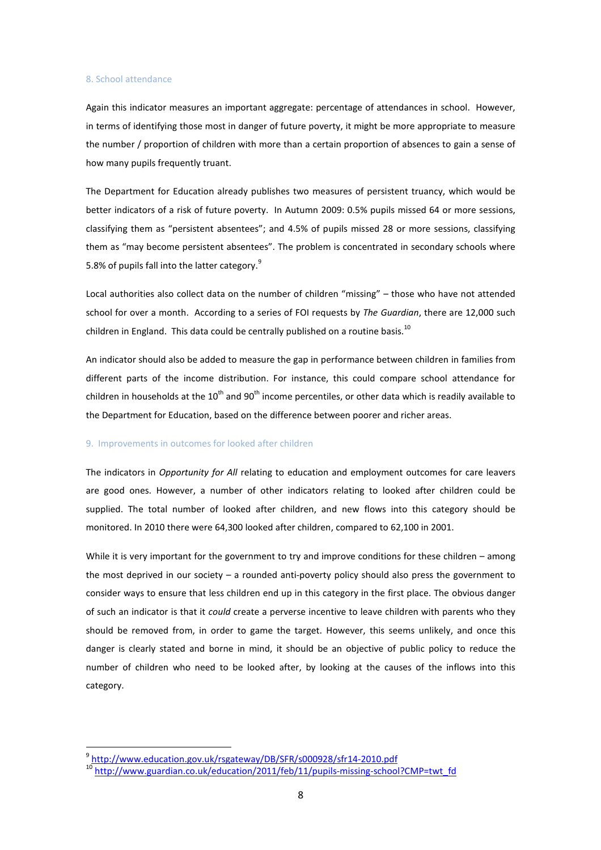#### 8. School attendance

Again this indicator measures an important aggregate: percentage of attendances in school. However, in terms of identifying those most in danger of future poverty, it might be more appropriate to measure the number / proportion of children with more than a certain proportion of absences to gain a sense of how many pupils frequently truant.

The Department for Education already publishes two measures of persistent truancy, which would be better indicators of a risk of future poverty. In Autumn 2009: 0.5% pupils missed 64 or more sessions, classifying them as "persistent absentees"; and 4.5% of pupils missed 28 or more sessions, classifying them as "may become persistent absentees". The problem is concentrated in secondary schools where 5.8% of pupils fall into the latter category.<sup>9</sup>

Local authorities also collect data on the number of children "missing" – those who have not attended school for over a month. According to a series of FOI requests by The Guardian, there are 12,000 such children in England. This data could be centrally published on a routine basis.<sup>10</sup>

An indicator should also be added to measure the gap in performance between children in families from different parts of the income distribution. For instance, this could compare school attendance for children in households at the 10<sup>th</sup> and 90<sup>th</sup> income percentiles, or other data which is readily available to the Department for Education, based on the difference between poorer and richer areas.

#### 9. Improvements in outcomes for looked after children

The indicators in Opportunity for All relating to education and employment outcomes for care leavers are good ones. However, a number of other indicators relating to looked after children could be supplied. The total number of looked after children, and new flows into this category should be monitored. In 2010 there were 64,300 looked after children, compared to 62,100 in 2001.

While it is very important for the government to try and improve conditions for these children – among the most deprived in our society – a rounded anti-poverty policy should also press the government to consider ways to ensure that less children end up in this category in the first place. The obvious danger of such an indicator is that it could create a perverse incentive to leave children with parents who they should be removed from, in order to game the target. However, this seems unlikely, and once this danger is clearly stated and borne in mind, it should be an objective of public policy to reduce the number of children who need to be looked after, by looking at the causes of the inflows into this category.

 $\overline{a}$ 

<sup>&</sup>lt;sup>9</sup> http://www.education.gov.uk/rsgateway/DB/SFR/s000928/sfr14-2010.pdf

<sup>10&</sup>lt;br>http://www.guardian.co.uk/education/2011/feb/11/pupils-missing-school?CMP=twt\_fd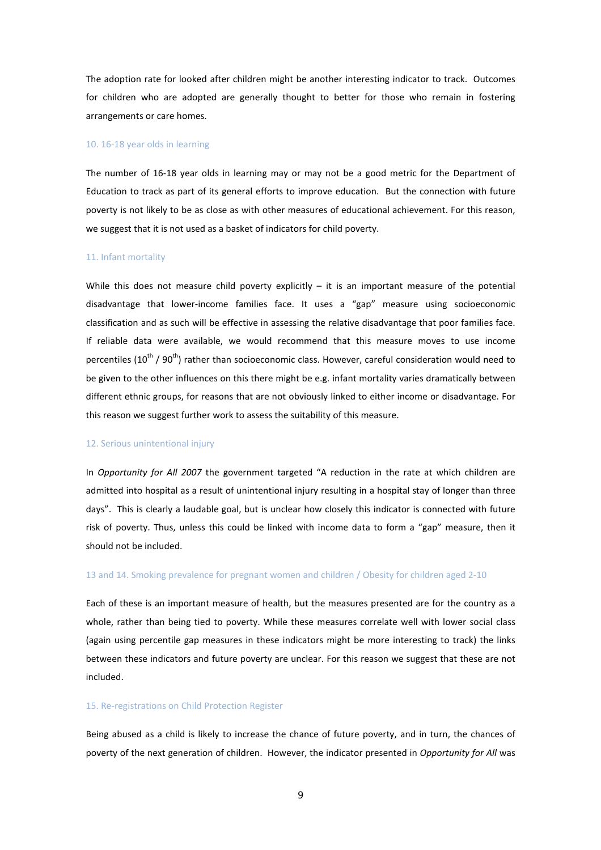The adoption rate for looked after children might be another interesting indicator to track. Outcomes for children who are adopted are generally thought to better for those who remain in fostering arrangements or care homes.

#### 10. 16-18 year olds in learning

The number of 16-18 year olds in learning may or may not be a good metric for the Department of Education to track as part of its general efforts to improve education. But the connection with future poverty is not likely to be as close as with other measures of educational achievement. For this reason, we suggest that it is not used as a basket of indicators for child poverty.

#### 11. Infant mortality

While this does not measure child poverty explicitly  $-$  it is an important measure of the potential disadvantage that lower-income families face. It uses a "gap" measure using socioeconomic classification and as such will be effective in assessing the relative disadvantage that poor families face. If reliable data were available, we would recommend that this measure moves to use income percentiles (10<sup>th</sup> / 90<sup>th</sup>) rather than socioeconomic class. However, careful consideration would need to be given to the other influences on this there might be e.g. infant mortality varies dramatically between different ethnic groups, for reasons that are not obviously linked to either income or disadvantage. For this reason we suggest further work to assess the suitability of this measure.

#### 12. Serious unintentional injury

In Opportunity for All 2007 the government targeted "A reduction in the rate at which children are admitted into hospital as a result of unintentional injury resulting in a hospital stay of longer than three days". This is clearly a laudable goal, but is unclear how closely this indicator is connected with future risk of poverty. Thus, unless this could be linked with income data to form a "gap" measure, then it should not be included.

#### 13 and 14. Smoking prevalence for pregnant women and children / Obesity for children aged 2-10

Each of these is an important measure of health, but the measures presented are for the country as a whole, rather than being tied to poverty. While these measures correlate well with lower social class (again using percentile gap measures in these indicators might be more interesting to track) the links between these indicators and future poverty are unclear. For this reason we suggest that these are not included.

## 15. Re-registrations on Child Protection Register

Being abused as a child is likely to increase the chance of future poverty, and in turn, the chances of poverty of the next generation of children. However, the indicator presented in Opportunity for All was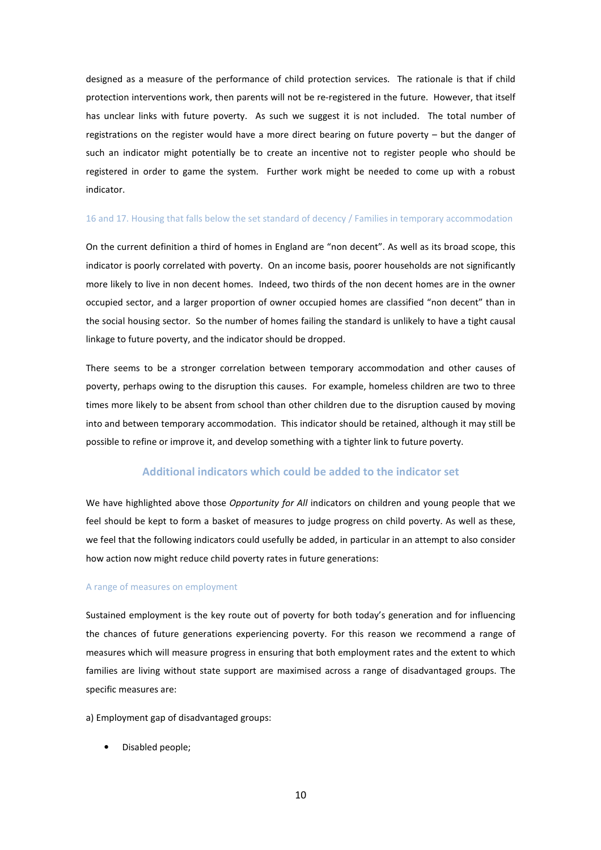designed as a measure of the performance of child protection services. The rationale is that if child protection interventions work, then parents will not be re-registered in the future. However, that itself has unclear links with future poverty. As such we suggest it is not included. The total number of registrations on the register would have a more direct bearing on future poverty – but the danger of such an indicator might potentially be to create an incentive not to register people who should be registered in order to game the system. Further work might be needed to come up with a robust indicator.

#### 16 and 17. Housing that falls below the set standard of decency / Families in temporary accommodation

On the current definition a third of homes in England are "non decent". As well as its broad scope, this indicator is poorly correlated with poverty. On an income basis, poorer households are not significantly more likely to live in non decent homes. Indeed, two thirds of the non decent homes are in the owner occupied sector, and a larger proportion of owner occupied homes are classified "non decent" than in the social housing sector. So the number of homes failing the standard is unlikely to have a tight causal linkage to future poverty, and the indicator should be dropped.

There seems to be a stronger correlation between temporary accommodation and other causes of poverty, perhaps owing to the disruption this causes. For example, homeless children are two to three times more likely to be absent from school than other children due to the disruption caused by moving into and between temporary accommodation. This indicator should be retained, although it may still be possible to refine or improve it, and develop something with a tighter link to future poverty.

## Additional indicators which could be added to the indicator set

We have highlighted above those Opportunity for All indicators on children and young people that we feel should be kept to form a basket of measures to judge progress on child poverty. As well as these, we feel that the following indicators could usefully be added, in particular in an attempt to also consider how action now might reduce child poverty rates in future generations:

#### A range of measures on employment

Sustained employment is the key route out of poverty for both today's generation and for influencing the chances of future generations experiencing poverty. For this reason we recommend a range of measures which will measure progress in ensuring that both employment rates and the extent to which families are living without state support are maximised across a range of disadvantaged groups. The specific measures are:

a) Employment gap of disadvantaged groups:

• Disabled people;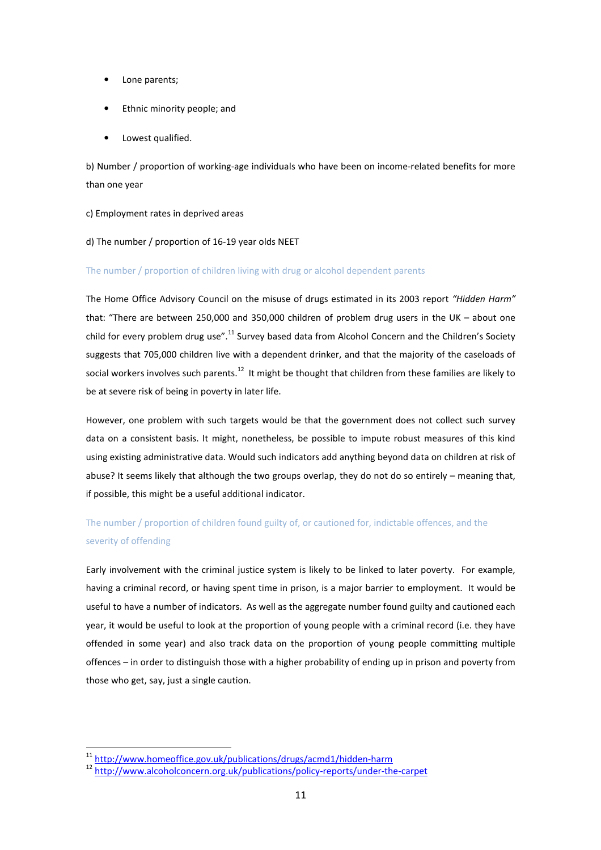- Lone parents;
- Ethnic minority people; and
- Lowest qualified.

b) Number / proportion of working-age individuals who have been on income-related benefits for more than one year

c) Employment rates in deprived areas

## d) The number / proportion of 16-19 year olds NEET

## The number / proportion of children living with drug or alcohol dependent parents

The Home Office Advisory Council on the misuse of drugs estimated in its 2003 report "Hidden Harm" that: "There are between 250,000 and 350,000 children of problem drug users in the UK – about one child for every problem drug use".<sup>11</sup> Survey based data from Alcohol Concern and the Children's Society suggests that 705,000 children live with a dependent drinker, and that the majority of the caseloads of social workers involves such parents.<sup>12</sup> It might be thought that children from these families are likely to be at severe risk of being in poverty in later life.

However, one problem with such targets would be that the government does not collect such survey data on a consistent basis. It might, nonetheless, be possible to impute robust measures of this kind using existing administrative data. Would such indicators add anything beyond data on children at risk of abuse? It seems likely that although the two groups overlap, they do not do so entirely – meaning that, if possible, this might be a useful additional indicator.

## The number / proportion of children found guilty of, or cautioned for, indictable offences, and the severity of offending

Early involvement with the criminal justice system is likely to be linked to later poverty. For example, having a criminal record, or having spent time in prison, is a major barrier to employment. It would be useful to have a number of indicators. As well as the aggregate number found guilty and cautioned each year, it would be useful to look at the proportion of young people with a criminal record (i.e. they have offended in some year) and also track data on the proportion of young people committing multiple offences – in order to distinguish those with a higher probability of ending up in prison and poverty from those who get, say, just a single caution.

 $\overline{a}$ 

<sup>11</sup> http://www.homeoffice.gov.uk/publications/drugs/acmd1/hidden-harm

<sup>12</sup> http://www.alcoholconcern.org.uk/publications/policy-reports/under-the-carpet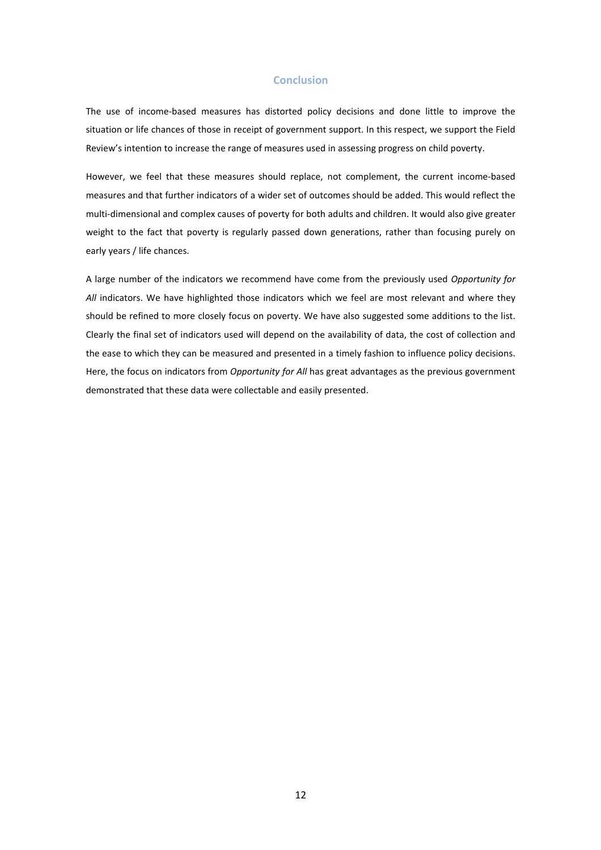## **Conclusion**

The use of income-based measures has distorted policy decisions and done little to improve the situation or life chances of those in receipt of government support. In this respect, we support the Field Review's intention to increase the range of measures used in assessing progress on child poverty.

However, we feel that these measures should replace, not complement, the current income-based measures and that further indicators of a wider set of outcomes should be added. This would reflect the multi-dimensional and complex causes of poverty for both adults and children. It would also give greater weight to the fact that poverty is regularly passed down generations, rather than focusing purely on early years / life chances.

A large number of the indicators we recommend have come from the previously used Opportunity for All indicators. We have highlighted those indicators which we feel are most relevant and where they should be refined to more closely focus on poverty. We have also suggested some additions to the list. Clearly the final set of indicators used will depend on the availability of data, the cost of collection and the ease to which they can be measured and presented in a timely fashion to influence policy decisions. Here, the focus on indicators from Opportunity for All has great advantages as the previous government demonstrated that these data were collectable and easily presented.